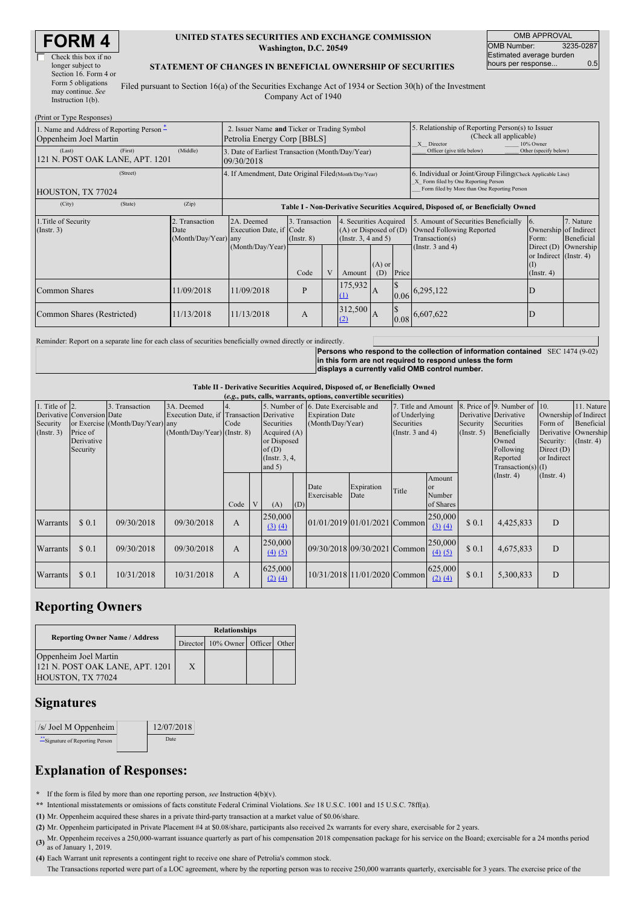(Print or Type Responses)

| Check this box if no  |  |
|-----------------------|--|
| longer subject to     |  |
| Section 16. Form 4 or |  |
| Form 5 obligations    |  |
| may continue. See     |  |
| Instruction $1(b)$ .  |  |

#### **UNITED STATES SECURITIES AND EXCHANGE COMMISSION Washington, D.C. 20549**

OMB APPROVAL OMB Number: 3235-0287 Estimated average burden hours per response... 0.5

### **STATEMENT OF CHANGES IN BENEFICIAL OWNERSHIP OF SECURITIES**

Filed pursuant to Section 16(a) of the Securities Exchange Act of 1934 or Section 30(h) of the Investment Company Act of 1940

| $\ldots$ $\ldots$ $\ldots$<br>1. Name and Address of Reporting Person –<br>Oppenheim Joel Martin | 2. Issuer Name and Ticker or Trading Symbol<br>Petrolia Energy Corp [BBLS] |                                                       |                                                                |                                   |   | 5. Relationship of Reporting Person(s) to Issuer<br>(Check all applicable)<br>10% Owner<br>X Director |                 |                                                                                                                                                    |                                                                                                             |                                                                                              |                                      |  |  |
|--------------------------------------------------------------------------------------------------|----------------------------------------------------------------------------|-------------------------------------------------------|----------------------------------------------------------------|-----------------------------------|---|-------------------------------------------------------------------------------------------------------|-----------------|----------------------------------------------------------------------------------------------------------------------------------------------------|-------------------------------------------------------------------------------------------------------------|----------------------------------------------------------------------------------------------|--------------------------------------|--|--|
| (Last)<br>121 N. POST OAK LANE, APT. 1201                                                        | (First)                                                                    | (Middle)                                              | 3. Date of Earliest Transaction (Month/Day/Year)<br>09/30/2018 |                                   |   |                                                                                                       |                 |                                                                                                                                                    | Other (specify below)<br>Officer (give title below)                                                         |                                                                                              |                                      |  |  |
| HOUSTON, TX 77024                                                                                |                                                                            | 4. If Amendment, Date Original Filed (Month/Day/Year) |                                                                |                                   |   |                                                                                                       |                 | 6. Individual or Joint/Group Filing(Check Applicable Line)<br>X Form filed by One Reporting Person<br>Form filed by More than One Reporting Person |                                                                                                             |                                                                                              |                                      |  |  |
| (City)                                                                                           | (State)                                                                    | (Zip)                                                 |                                                                |                                   |   |                                                                                                       |                 |                                                                                                                                                    | Table I - Non-Derivative Securities Acquired, Disposed of, or Beneficially Owned                            |                                                                                              |                                      |  |  |
| 1. Title of Security<br>$($ Instr. 3 $)$                                                         |                                                                            | 2. Transaction<br>Date<br>(Month/Day/Year) any        | 2A. Deemed<br>Execution Date, if Code<br>(Month/Day/Year)      | 3. Transaction<br>$($ Instr. $8)$ |   | 4. Securities Acquired<br>$(A)$ or Disposed of $(D)$<br>(Insert. 3, 4 and 5)                          |                 |                                                                                                                                                    | 5. Amount of Securities Beneficially<br>Owned Following Reported<br>Transaction(s)<br>(Instr. $3$ and $4$ ) | $\overline{6}$ .<br>Ownership of Indirect<br>Form:<br>Direct $(D)$<br>or Indirect (Instr. 4) | 7. Nature<br>Beneficial<br>Ownership |  |  |
|                                                                                                  |                                                                            |                                                       |                                                                | Code                              | V | Amount                                                                                                | $(A)$ or<br>(D) | Price                                                                                                                                              |                                                                                                             | (I)<br>$($ Instr. 4 $)$                                                                      |                                      |  |  |
| Common Shares                                                                                    |                                                                            | 11/09/2018                                            | 11/09/2018                                                     | P                                 |   | 175,932<br>$\Omega$                                                                                   | A               |                                                                                                                                                    | $0.06\begin{bmatrix} 6,295,122 \end{bmatrix}$                                                               |                                                                                              |                                      |  |  |
| Common Shares (Restricted)                                                                       |                                                                            | 11/13/2018                                            | 11/13/2018                                                     | A                                 |   | 312,500<br>(2)                                                                                        | IA              |                                                                                                                                                    | $0.08\big ^{6,607,622}$                                                                                     | D                                                                                            |                                      |  |  |

Reminder: Report on a separate line for each class of securities beneficially owned directly or indirectly.

Persons who respond to the collection of information contained SEC 1474 (9-02)<br>in this form are not required to respond unless the form **displays a currently valid OMB control number.**

#### **Table II - Derivative Securities Acquired, Disposed of, or Beneficially Owned**

|                                                   | (e.g., puts, calls, warrants, options, convertible securities)   |                                                    |                                                                                        |      |  |                                                                                   |     |                                                                                    |                              |                                                                                    |                                              |                              |                                                                                                                                                                          |                  |                                                                                               |
|---------------------------------------------------|------------------------------------------------------------------|----------------------------------------------------|----------------------------------------------------------------------------------------|------|--|-----------------------------------------------------------------------------------|-----|------------------------------------------------------------------------------------|------------------------------|------------------------------------------------------------------------------------|----------------------------------------------|------------------------------|--------------------------------------------------------------------------------------------------------------------------------------------------------------------------|------------------|-----------------------------------------------------------------------------------------------|
| 1. Title of $\vert$ 2.<br>Security<br>(Insert. 3) | Derivative Conversion Date<br>Price of<br>Derivative<br>Security | 3. Transaction<br>or Exercise (Month/Day/Year) any | 3A. Deemed<br>Execution Date, if Transaction Derivative<br>(Month/Day/Year) (Instr. 8) | Code |  | Securities<br>Acquired (A)<br>or Disposed<br>of(D)<br>(Instr. $3, 4,$<br>and $5)$ |     | 5. Number of 6. Date Exercisable and<br><b>Expiration Date</b><br>(Month/Day/Year) |                              | 7. Title and Amount<br>of Underlying<br><b>Securities</b><br>(Instr. $3$ and $4$ ) |                                              | Security<br>$($ Instr. 5 $)$ | 8. Price of 9. Number of 10.<br>Derivative Derivative<br>Securities<br>Form of<br>Beneficially<br>Owned<br>Following<br>Direct $(D)$<br>Reported<br>$Transaction(s)$ (I) |                  | 11. Nature<br>Ownership of Indirect<br>Beneficial<br>Derivative Ownership<br>$($ Instr. 4 $)$ |
|                                                   |                                                                  |                                                    |                                                                                        | Code |  | (A)                                                                               | (D) | Date<br>Exercisable                                                                | Expiration<br>Date           | Title                                                                              | Amount<br><b>or</b><br>Number<br>of Shares   |                              | $($ Instr. 4 $)$                                                                                                                                                         | $($ Instr. 4 $)$ |                                                                                               |
| Warrants                                          | \$0.1                                                            | 09/30/2018                                         | 09/30/2018                                                                             | A    |  | 250,000<br>(3) (4)                                                                |     |                                                                                    | 01/01/2019 01/01/2021 Common |                                                                                    | 250,000<br>(3) (4)                           | \$0.1                        | 4,425,833                                                                                                                                                                | D                |                                                                                               |
| Warrants                                          | \$0.1                                                            | 09/30/2018                                         | 09/30/2018                                                                             | A    |  | 250,000<br>$\underline{(4)}$ $\underline{(5)}$                                    |     |                                                                                    | 09/30/2018 09/30/2021 Common |                                                                                    | 250,000<br>$\underline{(4)} \underline{(5)}$ | \$0.1                        | 4,675,833                                                                                                                                                                | D                |                                                                                               |
| Warrants                                          | \$0.1                                                            | 10/31/2018                                         | 10/31/2018                                                                             | A    |  | 625,000<br>$(2)$ $(4)$                                                            |     |                                                                                    | 10/31/2018 11/01/2020 Common |                                                                                    | 625,000<br>$(2)$ $(4)$                       | \$0.1                        | 5,300,833                                                                                                                                                                | D                |                                                                                               |

## **Reporting Owners**

|                                                                               | <b>Relationships</b> |                                  |  |  |  |  |  |
|-------------------------------------------------------------------------------|----------------------|----------------------------------|--|--|--|--|--|
| <b>Reporting Owner Name / Address</b>                                         |                      | Director 10% Owner Officer Other |  |  |  |  |  |
| Oppenheim Joel Martin<br>121 N. POST OAK LANE, APT. 1201<br>HOUSTON, TX 77024 | X                    |                                  |  |  |  |  |  |

## **Signatures**

| $/s$ Joel M Oppenheim         | 12/07/2018 |
|-------------------------------|------------|
| Signature of Reporting Person | Date:      |

# **Explanation of Responses:**

**\*** If the form is filed by more than one reporting person, *see* Instruction 4(b)(v).

**\*\*** Intentional misstatements or omissions of facts constitute Federal Criminal Violations. *See* 18 U.S.C. 1001 and 15 U.S.C. 78ff(a).

**(1)** Mr. Oppenheim acquired these shares in a private third-party transaction at a market value of \$0.06/share.

- **(2)** Mr. Oppenheim participated in Private Placement #4 at \$0.08/share, participants also received 2x warrants for every share, exercisable for 2 years.
- **(3)** Mr. Oppenheim receives <sup>a</sup> 250,000-warrant issuance quarterly as part of his compensation <sup>2018</sup> compensation package for his service on the Board; exercisable for <sup>a</sup> <sup>24</sup> months period as of January 1, 2019.
- **(4)** Each Warrant unit represents a contingent right to receive one share of Petrolia's common stock. The Transactions reported were part of a LOC agreement, where by the reporting person was to receive 250,000 warrants quarterly, exercisable for 3 years. The exercise price of the